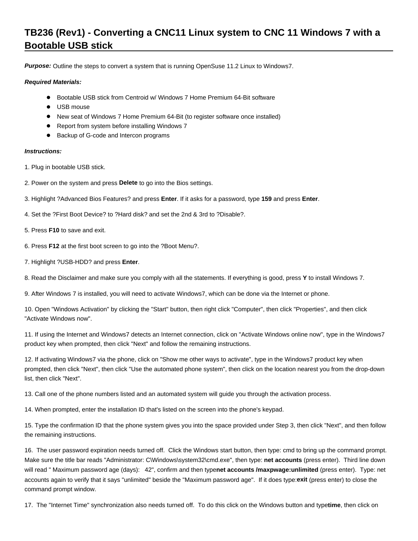## **TB236 (Rev1) - Converting a CNC11 Linux system to CNC 11 Windows 7 with a Bootable USB stick**

**Purpose:** Outline the steps to convert a system that is running OpenSuse 11.2 Linux to Windows7.

## **Required Materials:**

- Bootable USB stick from Centroid w/ Windows 7 Home Premium 64-Bit software
- USB mouse
- New seat of Windows 7 Home Premium 64-Bit (to register software once installed)
- Report from system before installing Windows 7
- Backup of G-code and Intercon programs

## **Instructions:**

- 1. Plug in bootable USB stick.
- 2. Power on the system and press **Delete** to go into the Bios settings.
- 3. Highlight ?Advanced Bios Features? and press **Enter**. If it asks for a password, type **159** and press **Enter**.
- 4. Set the ?First Boot Device? to ?Hard disk? and set the 2nd & 3rd to ?Disable?.
- 5. Press **F10** to save and exit.
- 6. Press **F12** at the first boot screen to go into the ?Boot Menu?.
- 7. Highlight ?USB-HDD? and press **Enter**.

8. Read the Disclaimer and make sure you comply with all the statements. If everything is good, press **Y** to install Windows 7.

9. After Windows 7 is installed, you will need to activate Windows7, which can be done via the Internet or phone.

10. Open "Windows Activation" by clicking the "Start" button, then right click "Computer", then click "Properties", and then click "Activate Windows now".

11. If using the Internet and Windows7 detects an Internet connection, click on "Activate Windows online now", type in the Windows7 product key when prompted, then click "Next" and follow the remaining instructions.

12. If activating Windows7 via the phone, click on "Show me other ways to activate", type in the Windows7 product key when prompted, then click "Next", then click "Use the automated phone system", then click on the location nearest you from the drop-down list, then click "Next".

13. Call one of the phone numbers listed and an automated system will guide you through the activation process.

14. When prompted, enter the installation ID that's listed on the screen into the phone's keypad.

15. Type the confirmation ID that the phone system gives you into the space provided under Step 3, then click "Next", and then follow the remaining instructions.

16. The user password expiration needs turned off. Click the Windows start button, then type: cmd to bring up the command prompt. Make sure the title bar reads "Administrator: C\Windows\system32\cmd.exe", then type: net accounts (press enter). Third line down will read " Maximum password age (days): 42", confirm and then typenet accounts /maxpwage:unlimited (press enter). Type: net accounts again to verify that it says "unlimited" beside the "Maximum password age". If it does type: exit (press enter) to close the command prompt window.

17. The "Internet Time" synchronization also needs turned off. To do this click on the Windows button and typetime, then click on